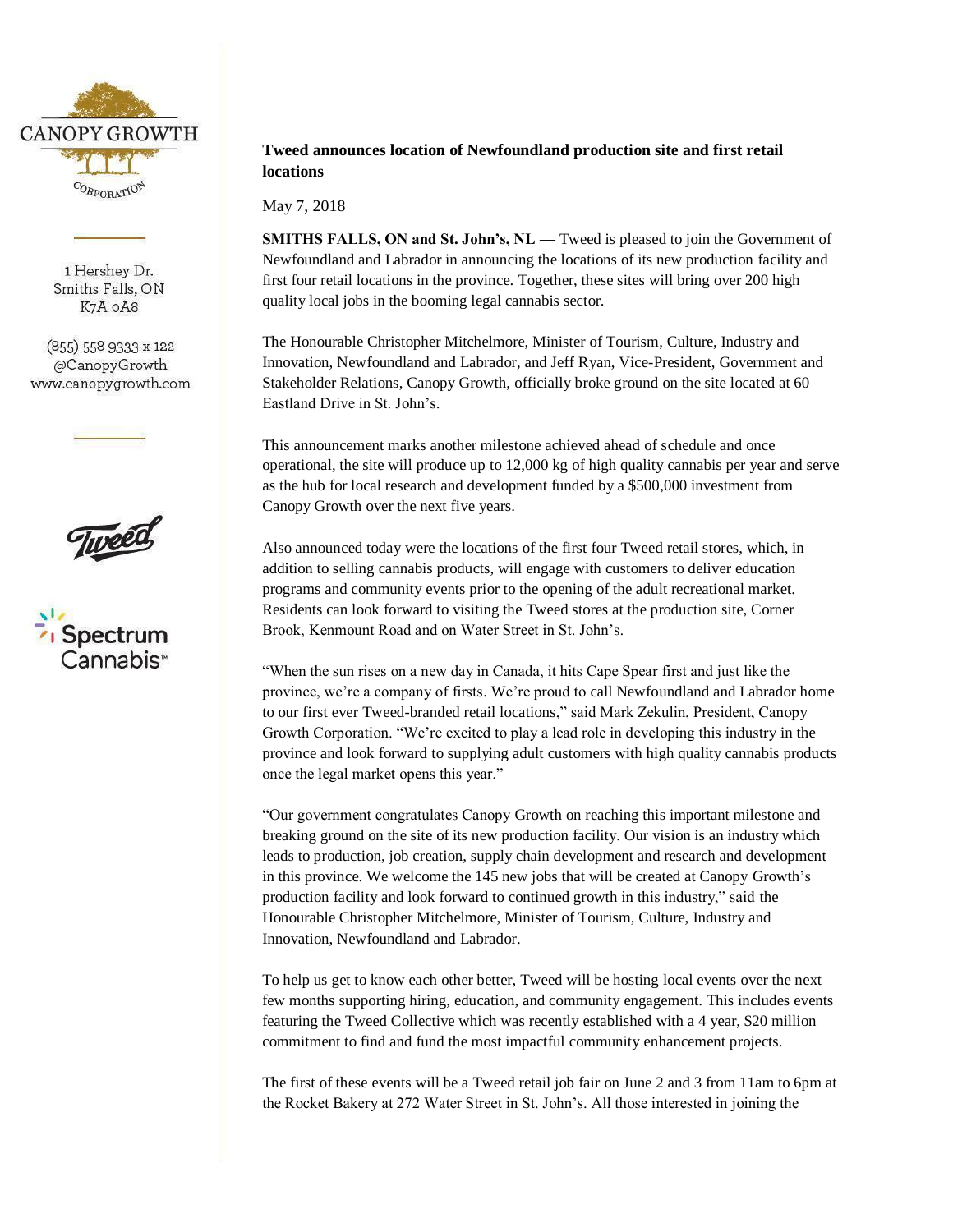

1 Hershey Dr. Smiths Falls, ON K7A OA8

 $(855)$  558 9333 x 122 @CanopyGrowth www.canopygrowth.com





# **Tweed announces location of Newfoundland production site and first retail locations**

May 7, 2018

**SMITHS FALLS, ON and St. John's, NL — Tweed is pleased to join the Government of** Newfoundland and Labrador in announcing the locations of its new production facility and first four retail locations in the province. Together, these sites will bring over 200 high quality local jobs in the booming legal cannabis sector.

The Honourable Christopher Mitchelmore, Minister of Tourism, Culture, Industry and Innovation, Newfoundland and Labrador, and Jeff Ryan, Vice-President, Government and Stakeholder Relations, Canopy Growth, officially broke ground on the site located at 60 Eastland Drive in St. John's.

This announcement marks another milestone achieved ahead of schedule and once operational, the site will produce up to 12,000 kg of high quality cannabis per year and serve as the hub for local research and development funded by a \$500,000 investment from Canopy Growth over the next five years.

Also announced today were the locations of the first four Tweed retail stores, which, in addition to selling cannabis products, will engage with customers to deliver education programs and community events prior to the opening of the adult recreational market. Residents can look forward to visiting the Tweed stores at the production site, Corner Brook, Kenmount Road and on Water Street in St. John's.

"When the sun rises on a new day in Canada, it hits Cape Spear first and just like the province, we're a company of firsts. We're proud to call Newfoundland and Labrador home to our first ever Tweed-branded retail locations," said Mark Zekulin, President, Canopy Growth Corporation. "We're excited to play a lead role in developing this industry in the province and look forward to supplying adult customers with high quality cannabis products once the legal market opens this year."

"Our government congratulates Canopy Growth on reaching this important milestone and breaking ground on the site of its new production facility. Our vision is an industry which leads to production, job creation, supply chain development and research and development in this province. We welcome the 145 new jobs that will be created at Canopy Growth's production facility and look forward to continued growth in this industry," said the Honourable Christopher Mitchelmore, Minister of Tourism, Culture, Industry and Innovation, Newfoundland and Labrador.

To help us get to know each other better, Tweed will be hosting local events over the next few months supporting hiring, education, and community engagement. This includes events featuring the Tweed Collective which was recently established with a 4 year, \$20 million commitment to find and fund the most impactful community enhancement projects.

The first of these events will be a Tweed retail job fair on June 2 and 3 from 11am to 6pm at the Rocket Bakery at 272 Water Street in St. John's. All those interested in joining the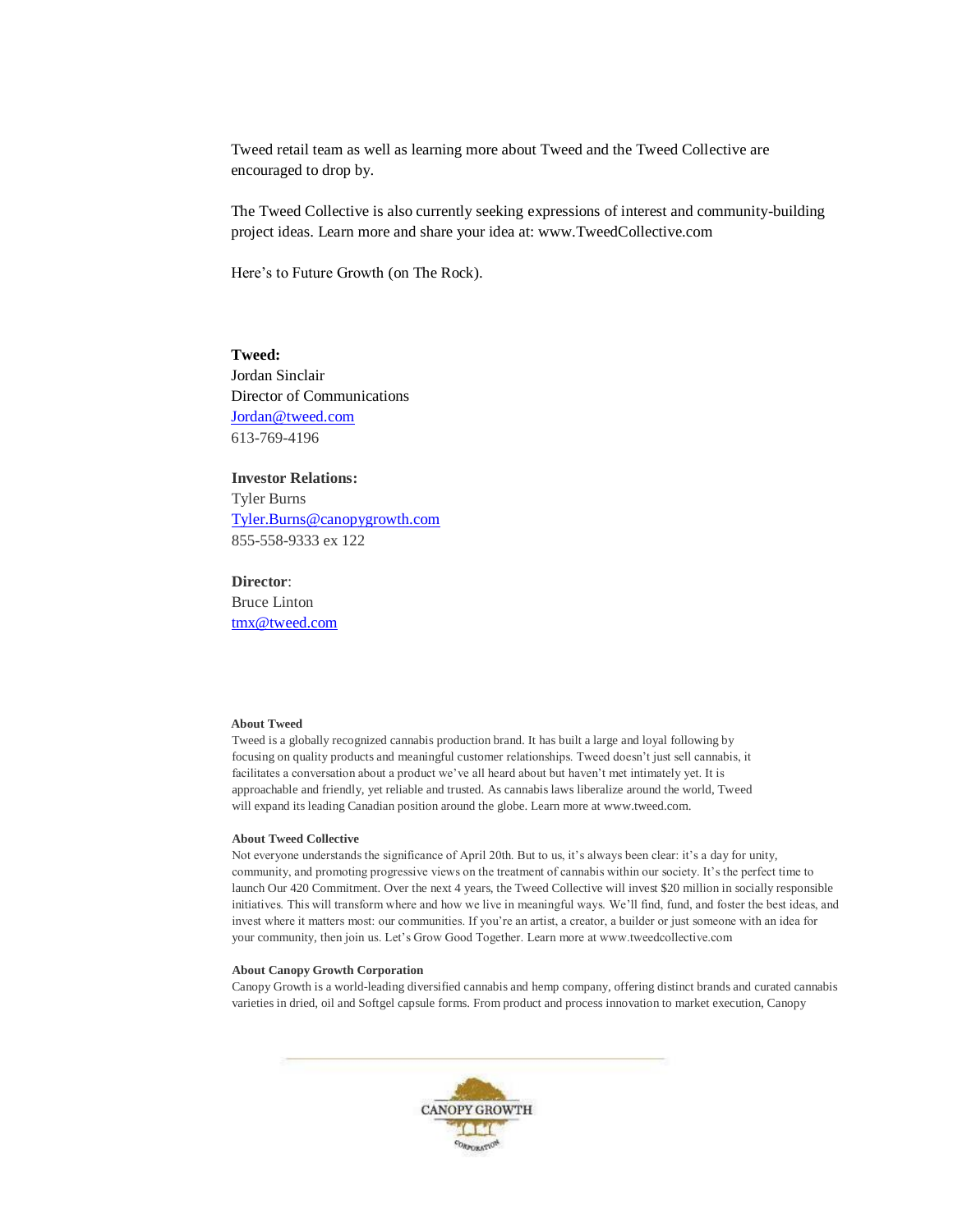Tweed retail team as well as learning more about Tweed and the Tweed Collective are encouraged to drop by.

The Tweed Collective is also currently seeking expressions of interest and community-building project ideas. Learn more and share your idea at: www.TweedCollective.com

Here's to Future Growth (on The Rock).

# **Tweed:**

Jordan Sinclair Director of Communications [Jordan@tweed.com](mailto:Jordan@tweed.com) 613-769-4196

# **Investor Relations:**

Tyler Burns [Tyler.Burns@canopygrowth.com](mailto:Tyler.Burns@canopygrowth.com) 855-558-9333 ex 122

# **Director**:

Bruce Linton [tmx@tweed.com](mailto:tmx@tweed.com)

## **About Tweed**

Tweed is a globally recognized cannabis production brand. It has built a large and loyal following by focusing on quality products and meaningful customer relationships. Tweed doesn't just sell cannabis, it facilitates a conversation about a product we've all heard about but haven't met intimately yet. It is approachable and friendly, yet reliable and trusted. As cannabis laws liberalize around the world, Tweed will expand its leading Canadian position around the globe. Learn more at [www.tweed.com.](http://www.tweed.com/)

### **About Tweed Collective**

Not everyone understands the significance of April 20th. But to us, it's always been clear: it's a day for unity, community, and promoting progressive views on the treatment of cannabis within our society. It's the perfect time to launch Our 420 Commitment. Over the next 4 years, the Tweed Collective will invest \$20 million in socially responsible initiatives. This will transform where and how we live in meaningful ways. We'll find, fund, and foster the best ideas, and invest where it matters most: our communities. If you're an artist, a creator, a builder or just someone with an idea for your community, then join us. Let's Grow Good Together. Learn more at www.tweedcollective.com

#### **About Canopy Growth Corporation**

Canopy Growth is a world-leading diversified cannabis and hemp company, offering distinct brands and curated cannabis varieties in dried, oil and Softgel capsule forms. From product and process innovation to market execution, Canopy